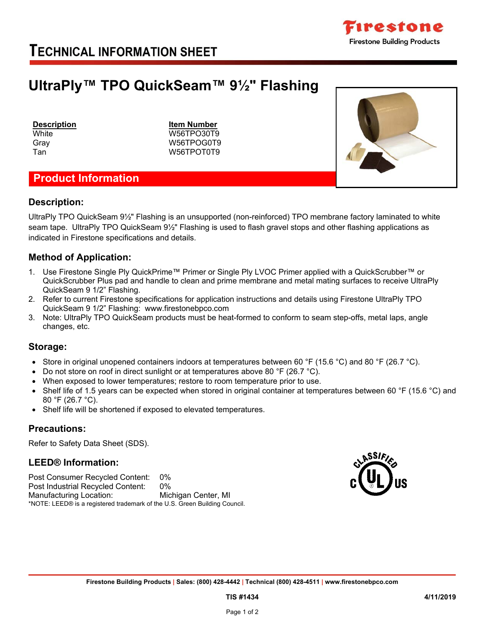

### **TECHNICAL INFORMATION SHEET**

## **UltraPly™ TPO QuickSeam™ 9½" Flashing**

**White** Gray

Tan

**Description Item Number** W56TPO30T9 W56TPOG0T9 W56TPOT0T9

### **Product Information**

## **Description:**

UltraPly TPO QuickSeam 9½" Flashing is an unsupported (non-reinforced) TPO membrane factory laminated to white seam tape. UltraPly TPO QuickSeam 9½" Flashing is used to flash gravel stops and other flashing applications as indicated in Firestone specifications and details.

#### **Method of Application:**

- 1. Use Firestone Single Ply QuickPrime™ Primer or Single Ply LVOC Primer applied with a QuickScrubber™ or QuickScrubber Plus pad and handle to clean and prime membrane and metal mating surfaces to receive UltraPly QuickSeam 9 1/2" Flashing.
- 2. Refer to current Firestone specifications for application instructions and details using Firestone UltraPly TPO QuickSeam 9 1/2" Flashing: www.firestonebpco.com
- 3. Note: UltraPly TPO QuickSeam products must be heat-formed to conform to seam step-offs, metal laps, angle changes, etc.

#### **Storage:**

- Store in original unopened containers indoors at temperatures between 60 °F (15.6 °C) and 80 °F (26.7 °C).
- Do not store on roof in direct sunlight or at temperatures above 80  $\degree$ F (26.7  $\degree$ C).
- When exposed to lower temperatures; restore to room temperature prior to use.
- Shelf life of 1.5 years can be expected when stored in original container at temperatures between 60 °F (15.6 °C) and 80 °F (26.7 °C).
- Shelf life will be shortened if exposed to elevated temperatures.

#### **Precautions:**

Refer to Safety Data Sheet (SDS).

#### **LEED® Information:**

Post Consumer Recycled Content: 0% Post Industrial Recycled Content: 0% Manufacturing Location: Michigan Center, MI \*NOTE: LEED® is a registered trademark of the U.S. Green Building Council.